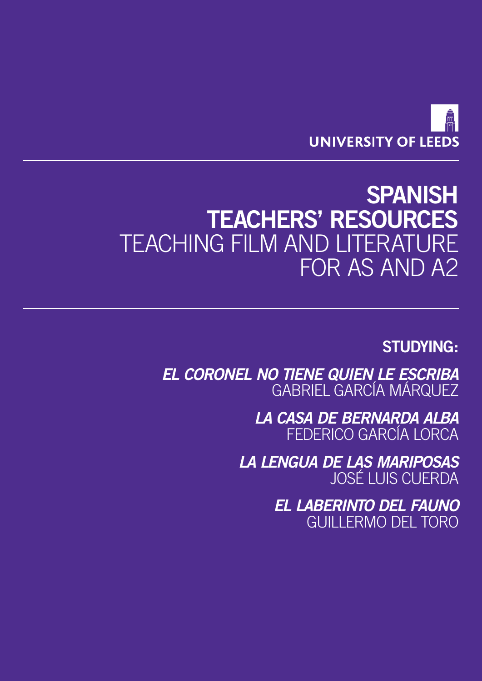

## **SPANISH TEACHERS' RESOURCES** TEACHING FILM AND LITERATURE FOR AS AND A2

## **STUDYING:**

*EL CORONEL NO TIENE QUIEN LE ESCRIBA* GABRIEL GARCÍA MÁRQUEZ

> *LA CASA DE BERNARDA ALBA* FEDERICO GARCÍA LORCA

*LA LENGUA DE LAS MARIPOSAS* JOSÉ LUIS CUERDA

> *EL LABERINTO DEL FAUNO* GUILLERMO DEL TORO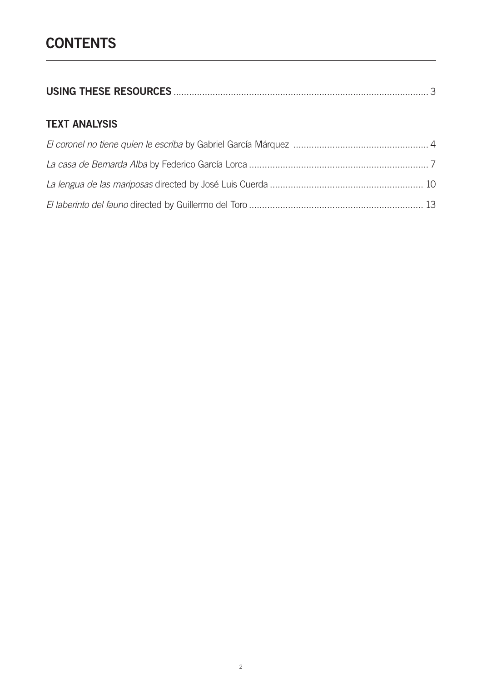|--|--|

## **TEXT ANALYSIS**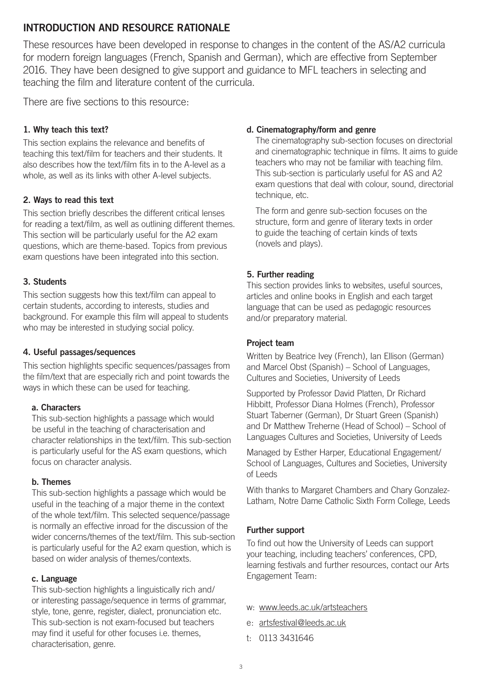### <span id="page-2-0"></span>**INTRODUCTION AND RESOURCE RATIONALE**

These resources have been developed in response to changes in the content of the AS/A2 curricula for modern foreign languages (French, Spanish and German), which are effective from September 2016. They have been designed to give support and guidance to MFL teachers in selecting and teaching the film and literature content of the curricula.

There are five sections to this resource:

#### **1. Why teach this text?**

This section explains the relevance and benefits of teaching this text/film for teachers and their students. It also describes how the text/film fits in to the A-level as a whole, as well as its links with other A-level subjects.

#### **2. Ways to read this text**

This section briefly describes the different critical lenses for reading a text/film, as well as outlining different themes. This section will be particularly useful for the A2 exam questions, which are theme-based. Topics from previous exam questions have been integrated into this section.

#### **3. Students**

This section suggests how this text/film can appeal to certain students, according to interests, studies and background. For example this film will appeal to students who may be interested in studying social policy.

#### **4. Useful passages/sequences**

This section highlights specific sequences/passages from the film/text that are especially rich and point towards the ways in which these can be used for teaching.

#### **a. Characters**

This sub-section highlights a passage which would be useful in the teaching of characterisation and character relationships in the text/film. This sub-section is particularly useful for the AS exam questions, which focus on character analysis.

#### **b. Themes**

This sub-section highlights a passage which would be useful in the teaching of a major theme in the context of the whole text/film. This selected sequence/passage is normally an effective inroad for the discussion of the wider concerns/themes of the text/film. This sub-section is particularly useful for the A2 exam question, which is based on wider analysis of themes/contexts.

#### **c. Language**

This sub-section highlights a linguistically rich and/ or interesting passage/sequence in terms of grammar, style, tone, genre, register, dialect, pronunciation etc. This sub-section is not exam-focused but teachers may find it useful for other focuses i.e. themes, characterisation, genre.

#### **d. Cinematography/form and genre**

The cinematography sub-section focuses on directorial and cinematographic technique in films. It aims to guide teachers who may not be familiar with teaching film. This sub-section is particularly useful for AS and A2 exam questions that deal with colour, sound, directorial technique, etc.

The form and genre sub-section focuses on the structure, form and genre of literary texts in order to guide the teaching of certain kinds of texts (novels and plays).

#### **5. Further reading**

This section provides links to websites, useful sources, articles and online books in English and each target language that can be used as pedagogic resources and/or preparatory material.

#### **Project team**

Written by Beatrice Ivey (French), Ian Ellison (German) and Marcel Obst (Spanish) – School of Languages, Cultures and Societies, University of Leeds

Supported by Professor David Platten, Dr Richard Hibbitt, Professor Diana Holmes (French), Professor Stuart Taberner (German), Dr Stuart Green (Spanish) and Dr Matthew Treherne (Head of School) – School of Languages Cultures and Societies, University of Leeds

Managed by Esther Harper, Educational Engagement/ School of Languages, Cultures and Societies, University of Leeds

With thanks to Margaret Chambers and Chary Gonzalez-Latham, Notre Dame Catholic Sixth Form College, Leeds

#### **Further support**

To find out how the University of Leeds can support your teaching, including teachers' conferences, CPD, learning festivals and further resources, contact our Arts Engagement Team:

- w: <www.leeds.ac.uk/artsteachers>
- e: [artsfestival@leeds.ac.uk](mailto:artsfestival%40leeds.ac.uk?subject=)
- t: 0113 3431646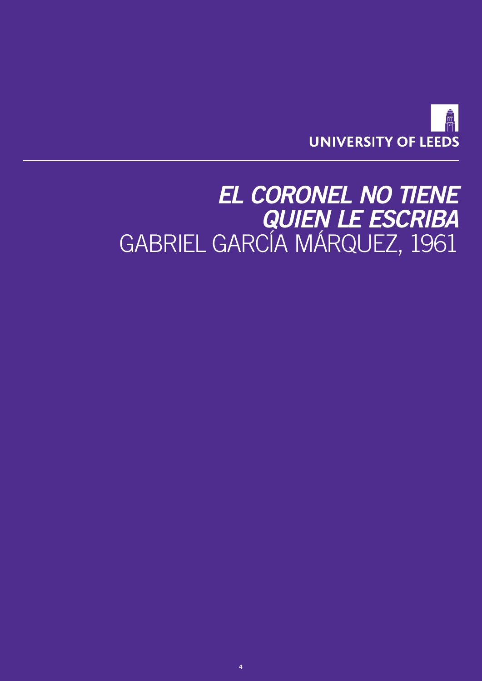

## <span id="page-3-0"></span>*EL CORONEL NO TIENE QUIEN LE ESCRIBA* GABRIEL GARCÍA MÁRQUEZ, 1961

**4**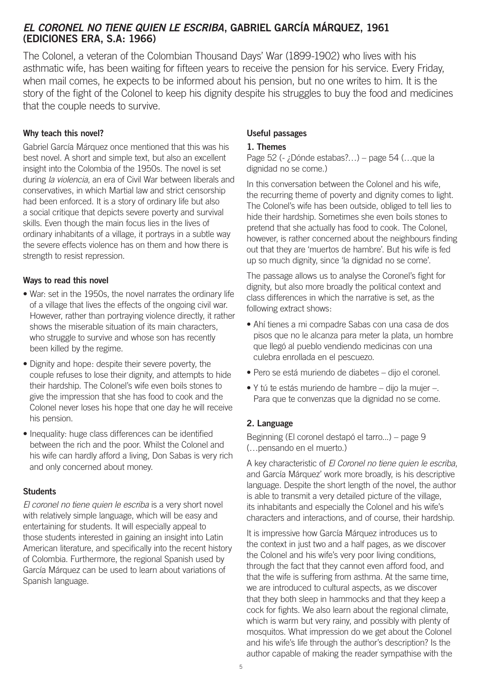### *EL CORONEL NO TIENE QUIEN LE ESCRIBA***, GABRIEL GARCÍA MÁRQUEZ, 1961 (EDICIONES ERA, S.A: 1966)**

The Colonel, a veteran of the Colombian Thousand Days' War (1899-1902) who lives with his asthmatic wife, has been waiting for fifteen years to receive the pension for his service. Every Friday, when mail comes, he expects to be informed about his pension, but no one writes to him. It is the story of the fight of the Colonel to keep his dignity despite his struggles to buy the food and medicines that the couple needs to survive.

#### **Why teach this novel?**

Gabriel García Márquez once mentioned that this was his best novel. A short and simple text, but also an excellent insight into the Colombia of the 1950s. The novel is set during *la violencia*, an era of Civil War between liberals and conservatives, in which Martial law and strict censorship had been enforced. It is a story of ordinary life but also a social critique that depicts severe poverty and survival skills. Even though the main focus lies in the lives of ordinary inhabitants of a village, it portrays in a subtle way the severe effects violence has on them and how there is strength to resist repression.

#### **Ways to read this novel**

- War: set in the 1950s, the novel narrates the ordinary life of a village that lives the effects of the ongoing civil war. However, rather than portraying violence directly, it rather shows the miserable situation of its main characters, who struggle to survive and whose son has recently been killed by the regime.
- Dignity and hope: despite their severe poverty, the couple refuses to lose their dignity, and attempts to hide their hardship. The Colonel's wife even boils stones to give the impression that she has food to cook and the Colonel never loses his hope that one day he will receive his pension.
- Inequality: huge class differences can be identified between the rich and the poor. Whilst the Colonel and his wife can hardly afford a living, Don Sabas is very rich and only concerned about money.

#### **Students**

*El coronel no tiene quien le escriba* is a very short novel with relatively simple language, which will be easy and entertaining for students. It will especially appeal to those students interested in gaining an insight into Latin American literature, and specifically into the recent history of Colombia. Furthermore, the regional Spanish used by García Márquez can be used to learn about variations of Spanish language.

#### **Useful passages**

#### **1. Themes**

Page 52 (- ¿Dónde estabas?…) – page 54 (…que la dignidad no se come.)

In this conversation between the Colonel and his wife, the recurring theme of poverty and dignity comes to light. The Colonel's wife has been outside, obliged to tell lies to hide their hardship. Sometimes she even boils stones to pretend that she actually has food to cook. The Colonel, however, is rather concerned about the neighbours finding out that they are 'muertos de hambre'. But his wife is fed up so much dignity, since 'la dignidad no se come'.

The passage allows us to analyse the Coronel's fight for dignity, but also more broadly the political context and class differences in which the narrative is set, as the following extract shows:

- Ahí tienes a mi compadre Sabas con una casa de dos pisos que no le alcanza para meter la plata, un hombre que llegó al pueblo vendiendo medicinas con una culebra enrollada en el pescuezo.
- Pero se está muriendo de diabetes dijo el coronel.
- Y tú te estás muriendo de hambre dijo la mujer –. Para que te convenzas que la dignidad no se come.

#### **2. Language**

Beginning (El coronel destapó el tarro...) – page 9 (…pensando en el muerto.)

A key characteristic of *El Coronel no tiene quien le escriba*, and García Márquez' work more broadly, is his descriptive language. Despite the short length of the novel, the author is able to transmit a very detailed picture of the village, its inhabitants and especially the Colonel and his wife's characters and interactions, and of course, their hardship.

It is impressive how García Márquez introduces us to the context in just two and a half pages, as we discover the Colonel and his wife's very poor living conditions, through the fact that they cannot even afford food, and that the wife is suffering from asthma. At the same time, we are introduced to cultural aspects, as we discover that they both sleep in hammocks and that they keep a cock for fights. We also learn about the regional climate, which is warm but very rainy, and possibly with plenty of mosquitos. What impression do we get about the Colonel and his wife's life through the author's description? Is the author capable of making the reader sympathise with the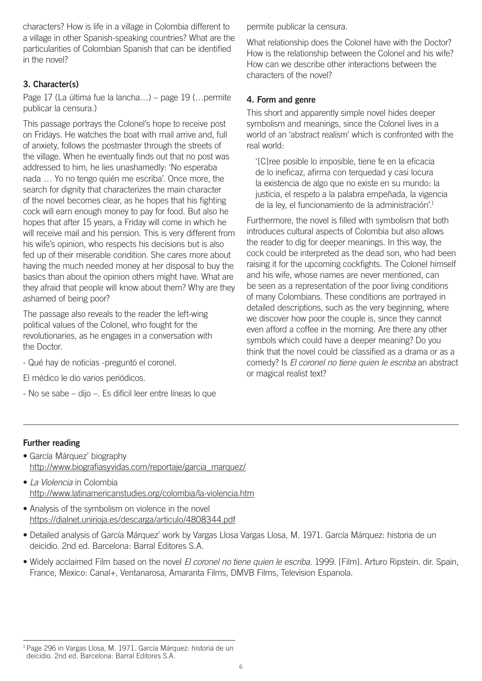characters? How is life in a village in Colombia different to a village in other Spanish-speaking countries? What are the particularities of Colombian Spanish that can be identified in the novel?

### **3. Character(s)**

Page 17 (La última fue la lancha…) – page 19 (…permite publicar la censura.)

This passage portrays the Colonel's hope to receive post on Fridays. He watches the boat with mail arrive and, full of anxiety, follows the postmaster through the streets of the village. When he eventually finds out that no post was addressed to him, he lies unashamedly: 'No esperaba nada … Yo no tengo quién me escriba'. Once more, the search for dignity that characterizes the main character of the novel becomes clear, as he hopes that his fighting cock will earn enough money to pay for food. But also he hopes that after 15 years, a Friday will come in which he will receive mail and his pension. This is very different from his wife's opinion, who respects his decisions but is also fed up of their miserable condition. She cares more about having the much needed money at her disposal to buy the basics than about the opinion others might have. What are they afraid that people will know about them? Why are they ashamed of being poor?

The passage also reveals to the reader the left-wing political values of the Colonel, who fought for the revolutionaries, as he engages in a conversation with the Doctor.

- Qué hay de noticias -preguntó el coronel.
- El médico le dio varios periódicos.
- No se sabe dijo –. Es difícil leer entre líneas lo que

permite publicar la censura.

What relationship does the Colonel have with the Doctor? How is the relationship between the Colonel and his wife? How can we describe other interactions between the characters of the novel?

#### **4. Form and genre**

This short and apparently simple novel hides deeper symbolism and meanings, since the Colonel lives in a world of an 'abstract realism' which is confronted with the real world:

 '[C]ree posible lo imposible, tiene fe en la eficacia de lo ineficaz, afirma con terquedad y casi locura la existencia de algo que no existe en su mundo: la justicia, el respeto a la palabra empeñada, la vigencia de la ley, el funcionamiento de la administración'.<sup>1</sup>

Furthermore, the novel is filled with symbolism that both introduces cultural aspects of Colombia but also allows the reader to dig for deeper meanings. In this way, the cock could be interpreted as the dead son, who had been raising it for the upcoming cockfights. The Colonel himself and his wife, whose names are never mentioned, can be seen as a representation of the poor living conditions of many Colombians. These conditions are portrayed in detailed descriptions, such as the very beginning, where we discover how poor the couple is, since they cannot even afford a coffee in the morning. Are there any other symbols which could have a deeper meaning? Do you think that the novel could be classified as a drama or as a comedy? Is *El coronel no tiene quien le escriba* an abstract or magical realist text?

#### **Further reading**

- García Márquez' biography [http://www.biografiasyvidas.com/reportaje/garcia\\_marquez/](http://www.biografiasyvidas.com/reportaje/garcia_marquez/)
- *La Violencia* in Colombia <http://www.latinamericanstudies.org/colombia/la-violencia.htm>
- Analysis of the symbolism on violence in the novel <https://dialnet.unirioja.es/descarga/articulo/4808344.pdf>
- Detailed analysis of García Márquez' work by Vargas Llosa Vargas Llosa, M. 1971. García Márquez: historia de un deicidio. 2nd ed. Barcelona: Barral Editores S.A.
- Widely acclaimed Film based on the novel *El coronel no tiene quien le escriba*. 1999. [Film]. Arturo Ripstein. dir. Spain, France, Mexico: Canal+, Ventanarosa, Amaranta Films, DMVB Films, Television Espanola.

<sup>&</sup>lt;sup>1</sup> Page 296 in Vargas Llosa, M. 1971. García Márquez: historia de un deicidio. 2nd ed. Barcelona: Barral Editores S.A.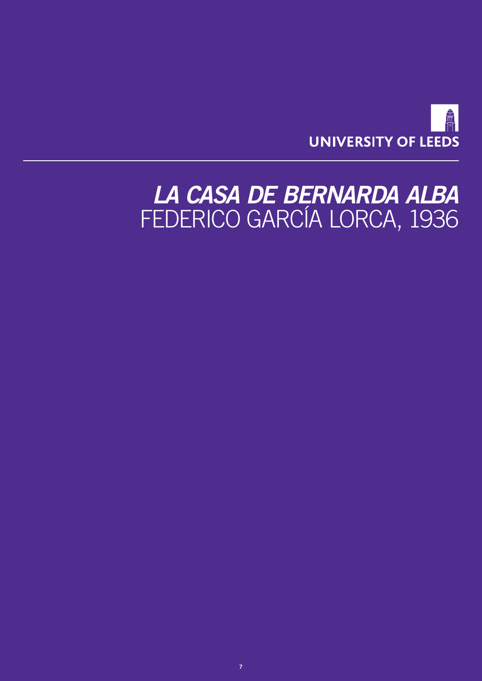

## <span id="page-6-0"></span>*LA CASA DE BERNARDA ALBA* FEDERICO GARCÍA LORCA, 1936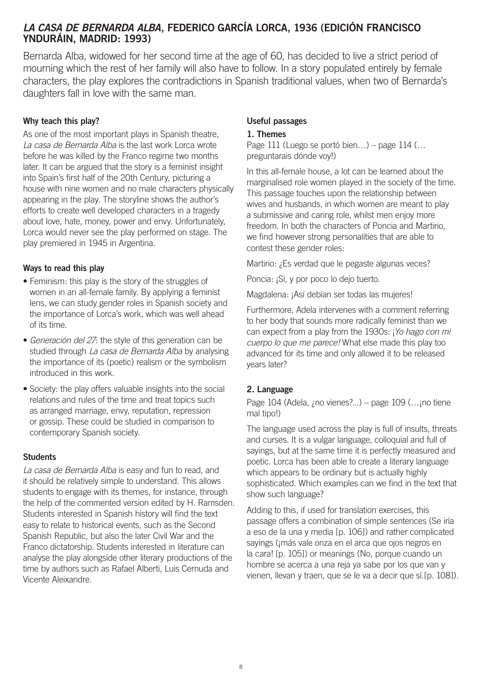### *LA CASA DE BERNARDA ALBA***, FEDERICO GARCÍA LORCA, 1936 (EDICIÓN FRANCISCO YNDURÁIN, MADRID: 1993)**

Bernarda Alba, widowed for her second time at the age of 60, has decided to live a strict period of mourning which the rest of her family will also have to follow. In a story populated entirely by female characters, the play explores the contradictions in Spanish traditional values, when two of Bernarda's daughters fall in love with the same man.

#### **Why teach this play?**

As one of the most important plays in Spanish theatre, *La casa de Bernarda Alba* is the last work Lorca wrote before he was killed by the Franco regime two months later. It can be argued that the story is a feminist insight into Spain's first half of the 20th Century, picturing a house with nine women and no male characters physically appearing in the play. The storyline shows the author's efforts to create well developed characters in a tragedy about love, hate, money, power and envy. Unfortunately, Lorca would never see the play performed on stage. The play premiered in 1945 in Argentina.

#### **Ways to read this play**

- Feminism: this play is the story of the struggles of women in an all-female family. By applying a feminist lens, we can study gender roles in Spanish society and the importance of Lorca's work, which was well ahead of its time.
- *Generación del 27*: the style of this generation can be studied through *La casa de Bernarda Alba* by analysing the importance of its (poetic) realism or the symbolism introduced in this work.
- Society: the play offers valuable insights into the social relations and rules of the time and treat topics such as arranged marriage, envy, reputation, repression or gossip. These could be studied in comparison to contemporary Spanish society.

#### **Students**

*La casa de Bernarda Alba* is easy and fun to read, and it should be relatively simple to understand. This allows students to engage with its themes, for instance, through the help of the commented version edited by H. Ramsden. Students interested in Spanish history will find the text easy to relate to historical events, such as the Second Spanish Republic, but also the later Civil War and the Franco dictatorship. Students interested in literature can analyse the play alongside other literary productions of the time by authors such as Rafael Alberti, Luis Cernuda and Vicente Aleixandre.

#### **Useful passages**

#### **1. Themes**

Page 111 (Luego se portó bien…) – page 114 (… preguntarais dónde voy!)

In this all-female house, a lot can be learned about the marginalised role women played in the society of the time. This passage touches upon the relationship between wives and husbands, in which women are meant to play a submissive and caring role, whilst men enjoy more freedom. In both the characters of Poncia and Martirio, we find however strong personalities that are able to contest these gender roles:

Martirio: ¿Es verdad que le pegaste algunas veces?

Poncia: ¡Sí, y por poco lo dejo tuerto.

Magdalena: ¡Así debían ser todas las mujeres!

Furthermore, Adela intervenes with a comment referring to her body that sounds more radically feminist than we can expect from a play from the 1930s: ¡*Yo hago con mi cuerpo lo que me parece!* What else made this play too advanced for its time and only allowed it to be released years later?

#### **2. Language**

Page 104 (Adela,  $\mu$ no vienes?...) – page 109 (... $\mu$ no tiene mal tipo!)

The language used across the play is full of insults, threats and curses. It is a vulgar language, colloquial and full of sayings, but at the same time it is perfectly measured and poetic. Lorca has been able to create a literary language which appears to be ordinary but is actually highly sophisticated. Which examples can we find in the text that show such language?

Adding to this, if used for translation exercises, this passage offers a combination of simple sentences (Se iría a eso de la una y media [p. 106]) and rather complicated sayings (¡más vale onza en el arca que ojos negros en la cara! [p. 105]) or meanings (No, porque cuando un hombre se acerca a una reja ya sabe por los que van y vienen, llevan y traen, que se le va a decir que sí.[p. 108]).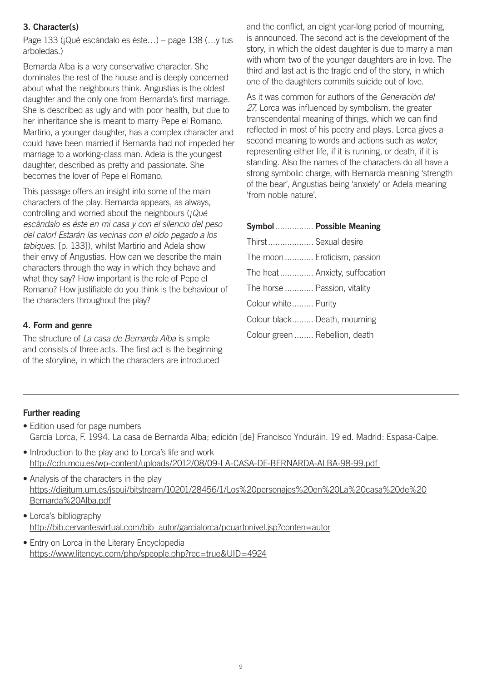#### **3. Character(s)**

Page 133 (¡Qué escándalo es éste…) – page 138 (…y tus arboledas.)

Bernarda Alba is a very conservative character. She dominates the rest of the house and is deeply concerned about what the neighbours think. Angustias is the oldest daughter and the only one from Bernarda's first marriage. She is described as ugly and with poor health, but due to her inheritance she is meant to marry Pepe el Romano. Martirio, a younger daughter, has a complex character and could have been married if Bernarda had not impeded her marriage to a working-class man. Adela is the youngest daughter, described as pretty and passionate. She becomes the lover of Pepe el Romano.

This passage offers an insight into some of the main characters of the play. Bernarda appears, as always, controlling and worried about the neighbours (*¡Qué escándalo es éste en mi casa y con el silencio del peso del calor! Estarán las vecinas con el oído pegado a los tabiques*. [p. 133]), whilst Martirio and Adela show their envy of Angustias. How can we describe the main characters through the way in which they behave and what they say? How important is the role of Pepe el Romano? How justifiable do you think is the behaviour of the characters throughout the play?

#### **4. Form and genre**

The structure of *La casa de Bernarda Alba* is simple and consists of three acts. The first act is the beginning of the storyline, in which the characters are introduced

and the conflict, an eight year-long period of mourning, is announced. The second act is the development of the story, in which the oldest daughter is due to marry a man with whom two of the younger daughters are in love. The third and last act is the tragic end of the story, in which one of the daughters commits suicide out of love.

As it was common for authors of the *Generación del 27*, Lorca was influenced by symbolism, the greater transcendental meaning of things, which we can find reflected in most of his poetry and plays. Lorca gives a second meaning to words and actions such as *water*, representing either life, if it is running, or death, if it is standing. Also the names of the characters do all have a strong symbolic charge, with Bernarda meaning 'strength of the bear', Angustias being 'anxiety' or Adela meaning 'from noble nature'.

|                                | Symbol  Possible Meaning      |
|--------------------------------|-------------------------------|
| Thirst  Sexual desire          |                               |
| The moon  Eroticism, passion   |                               |
|                                | The heat Anxiety, suffocation |
| The horse  Passion, vitality   |                               |
| Colour white Purity            |                               |
| Colour black Death, mourning   |                               |
| Colour green  Rebellion, death |                               |

#### **Further reading**

- Edition used for page numbers García Lorca, F. 1994. La casa de Bernarda Alba; edición [de] Francisco Ynduráin. 19 ed. Madrid: Espasa-Calpe.
- Introduction to the play and to Lorca's life and work <http://cdn.mcu.es/wp-content/uploads/2012/08/09-LA-CASA-DE-BERNARDA-ALBA-98-99.pdf>
- Analysis of the characters in the play [https://digitum.um.es/jspui/bitstream/10201/28456/1/Los%20personajes%20en%20La%20casa%20de%20](https://digitum.um.es/jspui/bitstream/10201/28456/1/Los%20personajes%20en%20La%20casa%20de%20Bernarda%20Alba.pdf) [Bernarda%20Alba.pdf](https://digitum.um.es/jspui/bitstream/10201/28456/1/Los%20personajes%20en%20La%20casa%20de%20Bernarda%20Alba.pdf)
- Lorca's bibliography [http://bib.cervantesvirtual.com/bib\\_autor/garcialorca/pcuartonivel.jsp?conten=autor](http://bib.cervantesvirtual.com/bib_autor/garcialorca/pcuartonivel.jsp?conten=autor)
- Entry on Lorca in the Literary Encyclopedia <https://www.litencyc.com/php/speople.php?rec=true&UID=4924>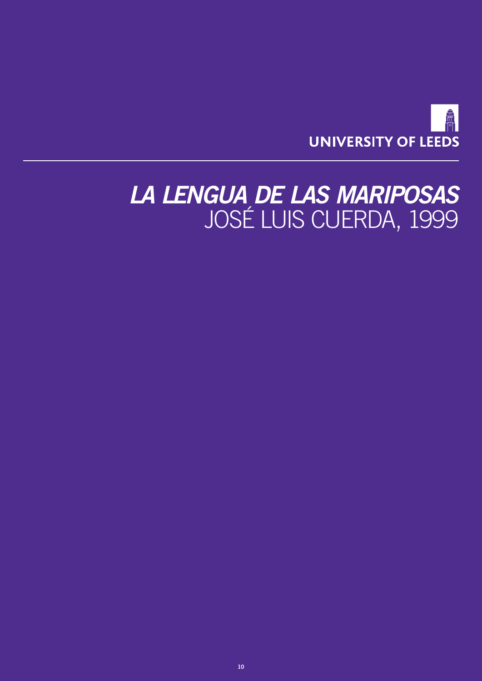

## <span id="page-9-0"></span>*LA LENGUA DE LAS MARIPOSAS* JOSÉ LUIS CUERDA, 1999

**10**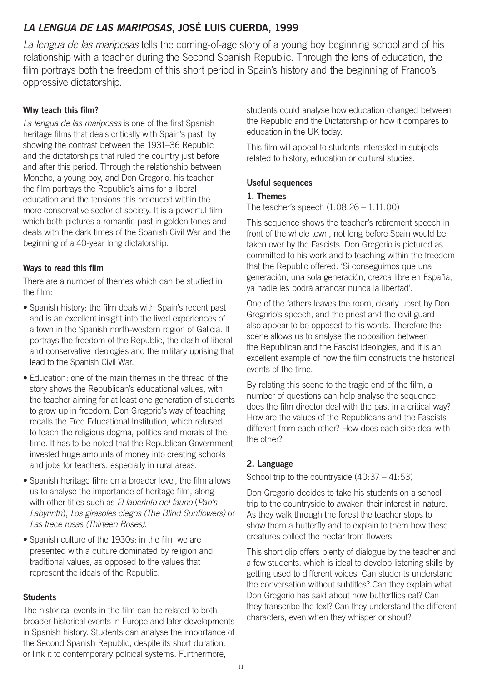## *LA LENGUA DE LAS MARIPOSAS***, JOSÉ LUIS CUERDA, 1999**

*La lengua de las mariposas* tells the coming-of-age story of a young boy beginning school and of his relationship with a teacher during the Second Spanish Republic. Through the lens of education, the film portrays both the freedom of this short period in Spain's history and the beginning of Franco's oppressive dictatorship.

#### **Why teach this film?**

*La lengua de las mariposas* is one of the first Spanish heritage films that deals critically with Spain's past, by showing the contrast between the 1931–36 Republic and the dictatorships that ruled the country just before and after this period. Through the relationship between Moncho, a young boy, and Don Gregorio, his teacher, the film portrays the Republic's aims for a liberal education and the tensions this produced within the more conservative sector of society. It is a powerful film which both pictures a romantic past in golden tones and deals with the dark times of the Spanish Civil War and the beginning of a 40-year long dictatorship.

#### **Ways to read this film**

There are a number of themes which can be studied in the film:

- Spanish history: the film deals with Spain's recent past and is an excellent insight into the lived experiences of a town in the Spanish north-western region of Galicia. It portrays the freedom of the Republic, the clash of liberal and conservative ideologies and the military uprising that lead to the Spanish Civil War.
- Education: one of the main themes in the thread of the story shows the Republican's educational values, with the teacher aiming for at least one generation of students to grow up in freedom. Don Gregorio's way of teaching recalls the Free Educational Institution, which refused to teach the religious dogma, politics and morals of the time. It has to be noted that the Republican Government invested huge amounts of money into creating schools and jobs for teachers, especially in rural areas.
- Spanish heritage film: on a broader level, the film allows us to analyse the importance of heritage film, along with other titles such as *El laberinto del fauno* (*Pan's Labyrinth*), *Los girasoles ciegos (The Blind Sunflowers)* or *Las trece rosas (Thirteen Roses)*.
- Spanish culture of the 1930s: in the film we are presented with a culture dominated by religion and traditional values, as opposed to the values that represent the ideals of the Republic.

#### **Students**

The historical events in the film can be related to both broader historical events in Europe and later developments in Spanish history. Students can analyse the importance of the Second Spanish Republic, despite its short duration, or link it to contemporary political systems. Furthermore,

students could analyse how education changed between the Republic and the Dictatorship or how it compares to education in the UK today.

This film will appeal to students interested in subjects related to history, education or cultural studies.

#### **Useful sequences**

#### **1. Themes**

The teacher's speech (1:08:26 – 1:11:00)

This sequence shows the teacher's retirement speech in front of the whole town, not long before Spain would be taken over by the Fascists. Don Gregorio is pictured as committed to his work and to teaching within the freedom that the Republic offered: 'Si conseguimos que una generación, una sola generación, crezca libre en España, ya nadie les podrá arrancar nunca la libertad'.

One of the fathers leaves the room, clearly upset by Don Gregorio's speech, and the priest and the civil guard also appear to be opposed to his words. Therefore the scene allows us to analyse the opposition between the Republican and the Fascist ideologies, and it is an excellent example of how the film constructs the historical events of the time.

By relating this scene to the tragic end of the film, a number of questions can help analyse the sequence: does the film director deal with the past in a critical way? How are the values of the Republicans and the Fascists different from each other? How does each side deal with the other?

#### **2. Language**

School trip to the countryside  $(40:37 - 41:53)$ 

Don Gregorio decides to take his students on a school trip to the countryside to awaken their interest in nature. As they walk through the forest the teacher stops to show them a butterfly and to explain to them how these creatures collect the nectar from flowers.

This short clip offers plenty of dialogue by the teacher and a few students, which is ideal to develop listening skills by getting used to different voices. Can students understand the conversation without subtitles? Can they explain what Don Gregorio has said about how butterflies eat? Can they transcribe the text? Can they understand the different characters, even when they whisper or shout?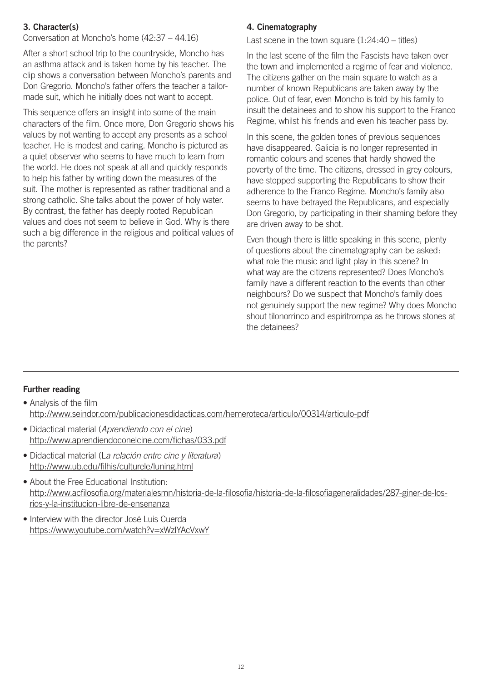#### **3. Character(s)**

Conversation at Moncho's home (42:37 – 44.16)

After a short school trip to the countryside, Moncho has an asthma attack and is taken home by his teacher. The clip shows a conversation between Moncho's parents and Don Gregorio. Moncho's father offers the teacher a tailormade suit, which he initially does not want to accept.

This sequence offers an insight into some of the main characters of the film. Once more, Don Gregorio shows his values by not wanting to accept any presents as a school teacher. He is modest and caring. Moncho is pictured as a quiet observer who seems to have much to learn from the world. He does not speak at all and quickly responds to help his father by writing down the measures of the suit. The mother is represented as rather traditional and a strong catholic. She talks about the power of holy water. By contrast, the father has deeply rooted Republican values and does not seem to believe in God. Why is there such a big difference in the religious and political values of the parents?

#### **4. Cinematography**

Last scene in the town square  $(1:24:40 - \text{titles})$ 

In the last scene of the film the Fascists have taken over the town and implemented a regime of fear and violence. The citizens gather on the main square to watch as a number of known Republicans are taken away by the police. Out of fear, even Moncho is told by his family to insult the detainees and to show his support to the Franco Regime, whilst his friends and even his teacher pass by.

In this scene, the golden tones of previous sequences have disappeared. Galicia is no longer represented in romantic colours and scenes that hardly showed the poverty of the time. The citizens, dressed in grey colours, have stopped supporting the Republicans to show their adherence to the Franco Regime. Moncho's family also seems to have betrayed the Republicans, and especially Don Gregorio, by participating in their shaming before they are driven away to be shot.

Even though there is little speaking in this scene, plenty of questions about the cinematography can be asked: what role the music and light play in this scene? In what way are the citizens represented? Does Moncho's family have a different reaction to the events than other neighbours? Do we suspect that Moncho's family does not genuinely support the new regime? Why does Moncho shout tilonorrinco and espiritrompa as he throws stones at the detainees?

#### **Further reading**

• Analysis of the film <http://www.seindor.com/publicacionesdidacticas.com/hemeroteca/articulo/00314/articulo-pdf>

- Didactical material (*Aprendiendo con el cine*) <http://www.aprendiendoconelcine.com/fichas/033.pdf>
- Didactical material (L*a relación entre cine y literatura*) <http://www.ub.edu/filhis/culturele/luning.html>
- About the Free Educational Institution: [http://www.acfilosofia.org/materialesmn/historia-de-la-filosofia/historia-de-la-filosofiageneralidades/287-giner-de-los](http://www.acfilosofia.org/materialesmn/historia-de-la-filosofia/historia-de-la-filosofiageneralidades/287-giner-de-los-rios-y-la-institucion-libre-de-ensenanza)[rios-y-la-institucion-libre-de-ensenanza](http://www.acfilosofia.org/materialesmn/historia-de-la-filosofia/historia-de-la-filosofiageneralidades/287-giner-de-los-rios-y-la-institucion-libre-de-ensenanza)
- Interview with the director José Luis Cuerda <https://www.youtube.com/watch?v=xWzlYAcVxwY>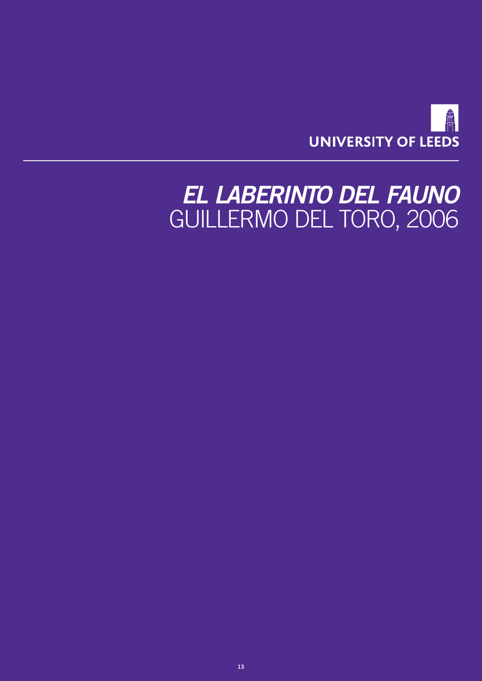

# <span id="page-12-0"></span>*EL LABERINTO DEL FAUNO* GUILLERMO DEL TORO, 2006

**13**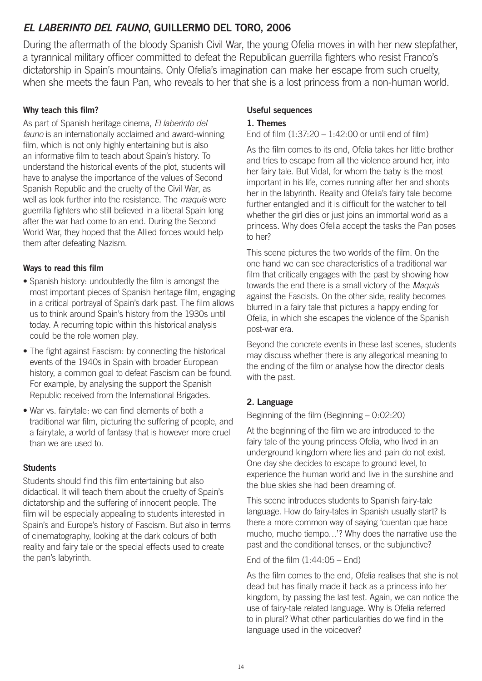## *EL LABERINTO DEL FAUNO***, GUILLERMO DEL TORO, 2006**

During the aftermath of the bloody Spanish Civil War, the young Ofelia moves in with her new stepfather, a tyrannical military officer committed to defeat the Republican guerrilla fighters who resist Franco's dictatorship in Spain's mountains. Only Ofelia's imagination can make her escape from such cruelty, when she meets the faun Pan, who reveals to her that she is a lost princess from a non-human world.

#### **Why teach this film?**

As part of Spanish heritage cinema, *El laberinto del fauno* is an internationally acclaimed and award-winning film, which is not only highly entertaining but is also an informative film to teach about Spain's history. To understand the historical events of the plot, students will have to analyse the importance of the values of Second Spanish Republic and the cruelty of the Civil War, as well as look further into the resistance. The *maquis* were guerrilla fighters who still believed in a liberal Spain long after the war had come to an end. During the Second World War, they hoped that the Allied forces would help them after defeating Nazism.

#### **Ways to read this film**

- Spanish history: undoubtedly the film is amongst the most important pieces of Spanish heritage film, engaging in a critical portrayal of Spain's dark past. The film allows us to think around Spain's history from the 1930s until today. A recurring topic within this historical analysis could be the role women play.
- The fight against Fascism: by connecting the historical events of the 1940s in Spain with broader European history, a common goal to defeat Fascism can be found. For example, by analysing the support the Spanish Republic received from the International Brigades.
- War vs. fairytale: we can find elements of both a traditional war film, picturing the suffering of people, and a fairytale, a world of fantasy that is however more cruel than we are used to.

#### **Students**

Students should find this film entertaining but also didactical. It will teach them about the cruelty of Spain's dictatorship and the suffering of innocent people. The film will be especially appealing to students interested in Spain's and Europe's history of Fascism. But also in terms of cinematography, looking at the dark colours of both reality and fairy tale or the special effects used to create the pan's labyrinth.

#### **Useful sequences**

#### **1. Themes**

#### End of film  $(1:37:20 - 1:42:00$  or until end of film)

As the film comes to its end, Ofelia takes her little brother and tries to escape from all the violence around her, into her fairy tale. But Vidal, for whom the baby is the most important in his life, comes running after her and shoots her in the labyrinth. Reality and Ofelia's fairy tale become further entangled and it is difficult for the watcher to tell whether the girl dies or just joins an immortal world as a princess. Why does Ofelia accept the tasks the Pan poses to her?

This scene pictures the two worlds of the film. On the one hand we can see characteristics of a traditional war film that critically engages with the past by showing how towards the end there is a small victory of the *Maquis* against the Fascists. On the other side, reality becomes blurred in a fairy tale that pictures a happy ending for Ofelia, in which she escapes the violence of the Spanish post-war era.

Beyond the concrete events in these last scenes, students may discuss whether there is any allegorical meaning to the ending of the film or analyse how the director deals with the past.

#### **2. Language**

#### Beginning of the film (Beginning – 0:02:20)

At the beginning of the film we are introduced to the fairy tale of the young princess Ofelia, who lived in an underground kingdom where lies and pain do not exist. One day she decides to escape to ground level, to experience the human world and live in the sunshine and the blue skies she had been dreaming of.

This scene introduces students to Spanish fairy-tale language. How do fairy-tales in Spanish usually start? Is there a more common way of saying 'cuentan que hace mucho, mucho tiempo…'? Why does the narrative use the past and the conditional tenses, or the subjunctive?

End of the film  $(1:44:05 -$  End)

As the film comes to the end, Ofelia realises that she is not dead but has finally made it back as a princess into her kingdom, by passing the last test. Again, we can notice the use of fairy-tale related language. Why is Ofelia referred to in plural? What other particularities do we find in the language used in the voiceover?